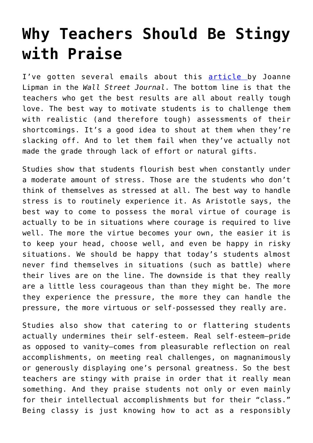## **[Why Teachers Should Be Stingy](https://intellectualtakeout.org/2018/08/why-teachers-should-be-stingy-with-praise/) [with Praise](https://intellectualtakeout.org/2018/08/why-teachers-should-be-stingy-with-praise/)**

I've gotten several emails about this [article b](http://online.wsj.com/article/SB10001424052702304213904579095303368899132.html)y Joanne Lipman in the *Wall Street Journal*. The bottom line is that the teachers who get the best results are all about really tough love. The best way to motivate students is to challenge them with realistic (and therefore tough) assessments of their shortcomings. It's a good idea to shout at them when they're slacking off. And to let them fail when they've actually not made the grade through lack of effort or natural gifts.

Studies show that students flourish best when constantly under a moderate amount of stress. Those are the students who don't think of themselves as stressed at all. The best way to handle stress is to routinely experience it. As Aristotle says, the best way to come to possess the moral virtue of courage is actually to be in situations where courage is required to live well. The more the virtue becomes your own, the easier it is to keep your head, choose well, and even be happy in risky situations. We should be happy that today's students almost never find themselves in situations (such as battle) where their lives are on the line. The downside is that they really are a little less courageous than than they might be. The more they experience the pressure, the more they can handle the pressure, the more virtuous or self-possessed they really are.

Studies also show that catering to or flattering students actually undermines their self-esteem. Real self-esteem–pride as opposed to vanity–comes from pleasurable reflection on real accomplishments, on meeting real challenges, on magnanimously or generously displaying one's personal greatness. So the best teachers are stingy with praise in order that it really mean something. And they praise students not only or even mainly for their intellectual accomplishments but for their "class." Being classy is just knowing how to act as a responsibly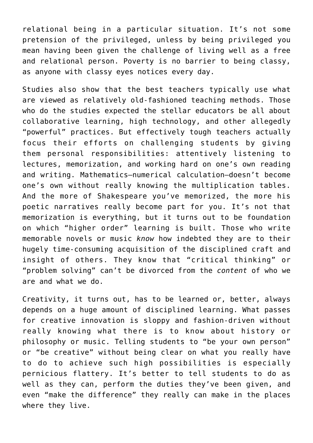relational being in a particular situation. It's not some pretension of the privileged, unless by being privileged you mean having been given the challenge of living well as a free and relational person. Poverty is no barrier to being classy, as anyone with classy eyes notices every day.

Studies also show that the best teachers typically use what are viewed as relatively old-fashioned teaching methods. Those who do the studies expected the stellar educators be all about collaborative learning, high technology, and other allegedly "powerful" practices. But effectively tough teachers actually focus their efforts on challenging students by giving them personal responsibilities: attentively listening to lectures, memorization, and working hard on one's own reading and writing. Mathematics–numerical calculation–doesn't become one's own without really knowing the multiplication tables. And the more of Shakespeare you've memorized, the more his poetic narratives really become part for you. It's not that memorization is everything, but it turns out to be foundation on which "higher order" learning is built. Those who write memorable novels or music *know* how indebted they are to their hugely time-consuming acquisition of the disciplined craft and insight of others. They know that "critical thinking" or "problem solving" can't be divorced from the *content* of who we are and what we do.

Creativity, it turns out, has to be learned or, better, always depends on a huge amount of disciplined learning. What passes for creative innovation is sloppy and fashion-driven without really knowing what there is to know about history or philosophy or music. Telling students to "be your own person" or "be creative" without being clear on what you really have to do to achieve such high possibilities is especially pernicious flattery. It's better to tell students to do as well as they can, perform the duties they've been given, and even "make the difference" they really can make in the places where they live.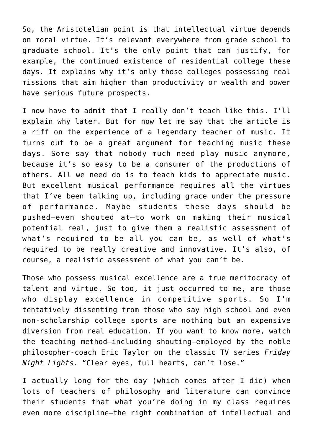So, the Aristotelian point is that intellectual virtue depends on moral virtue. It's relevant everywhere from grade school to graduate school. It's the only point that can justify, for example, the continued existence of residential college these days. It explains why it's only those colleges possessing real missions that aim higher than productivity or wealth and power have serious future prospects.

I now have to admit that I really don't teach like this. I'll explain why later. But for now let me say that the article is a riff on the experience of a legendary teacher of music. It turns out to be a great argument for teaching music these days. Some say that nobody much need play music anymore, because it's so easy to be a consumer of the productions of others. All we need do is to teach kids to appreciate music. But excellent musical performance requires all the virtues that I've been talking up, including grace under the pressure of performance. Maybe students these days should be pushed–even shouted at–to work on making their musical potential real, just to give them a realistic assessment of what's required to be all you can be, as well of what's required to be really creative and innovative. It's also, of course, a realistic assessment of what you can't be.

Those who possess musical excellence are a true meritocracy of talent and virtue. So too, it just occurred to me, are those who display excellence in competitive sports. So I'm tentatively dissenting from those who say high school and even non-scholarship college sports are nothing but an expensive diversion from real education. If you want to know more, watch the teaching method–including shouting–employed by the noble philosopher-coach Eric Taylor on the classic TV series *Friday Night Lights*. "Clear eyes, full hearts, can't lose."

I actually long for the day (which comes after I die) when lots of teachers of philosophy and literature can convince their students that what you're doing in my class requires even more discipline–the right combination of intellectual and